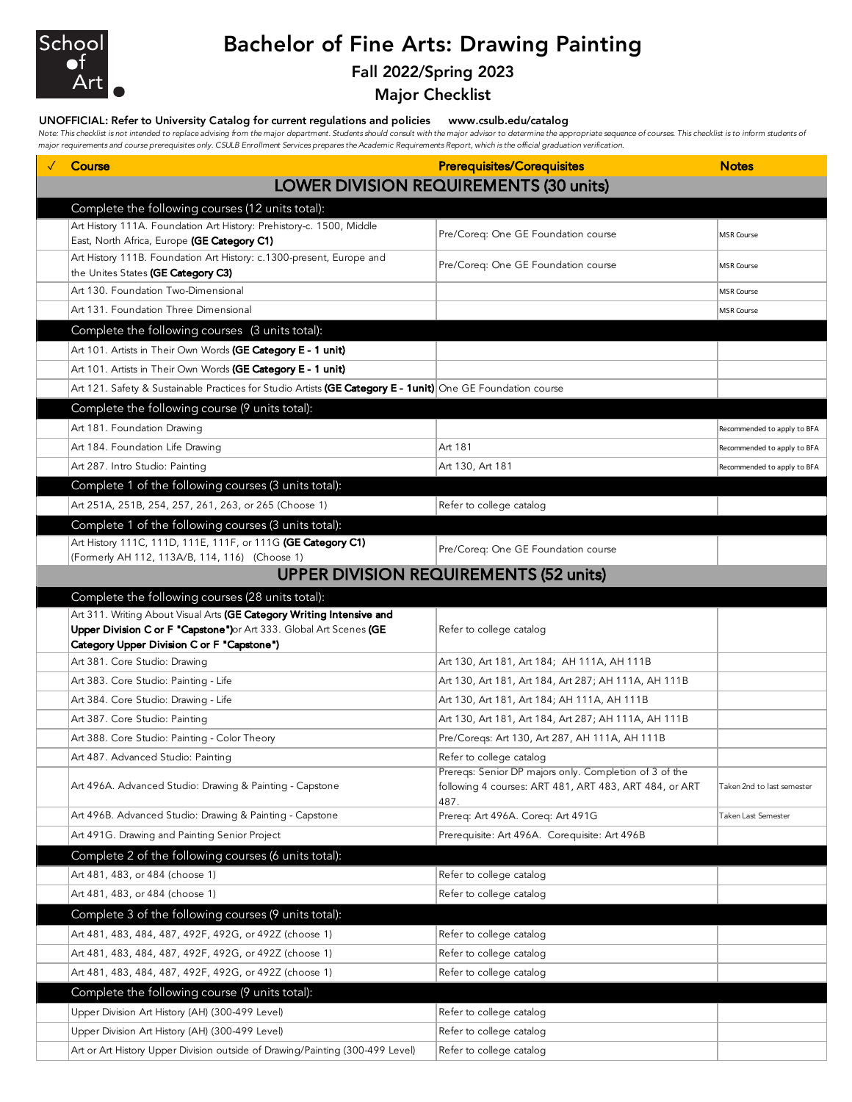

# Bachelor of Fine Arts: Drawing Painting

### Fall 2022/Spring 2023

Major Checklist

#### UNOFFICIAL: Refer to University Catalog for current regulations and policies www.csulb.edu/catalog

Note: This checklist is not intended to replace advising from the major department. Students should consult with the major advisor to determine the appropriate sequence of courses. This checklist is to inform students of *major requirements and course prerequisites only. CSULB Enrollment Services prepares the Academic Requirements Report, which is the official graduation verification.*

| Course                                                                                                                   | <b>Prerequisites/Corequisites</b>                      | <b>Notes</b>                |
|--------------------------------------------------------------------------------------------------------------------------|--------------------------------------------------------|-----------------------------|
|                                                                                                                          | LOWER DIVISION REQUIREMENTS (30 units)                 |                             |
|                                                                                                                          |                                                        |                             |
| Complete the following courses (12 units total):<br>Art History 111A. Foundation Art History: Prehistory-c. 1500, Middle |                                                        |                             |
| East, North Africa, Europe (GE Category C1)                                                                              | Pre/Coreq: One GE Foundation course                    | <b>MSR Course</b>           |
| Art History 111B. Foundation Art History: c.1300-present, Europe and                                                     |                                                        |                             |
| the Unites States (GE Category C3)                                                                                       | Pre/Coreq: One GE Foundation course                    | <b>MSR Course</b>           |
| Art 130. Foundation Two-Dimensional                                                                                      |                                                        | <b>MSR Course</b>           |
| Art 131. Foundation Three Dimensional                                                                                    |                                                        | <b>MSR Course</b>           |
| Complete the following courses (3 units total):                                                                          |                                                        |                             |
| Art 101. Artists in Their Own Words (GE Category E - 1 unit)                                                             |                                                        |                             |
| Art 101. Artists in Their Own Words (GE Category E - 1 unit)                                                             |                                                        |                             |
| Art 121. Safety & Sustainable Practices for Studio Artists (GE Category E - 1unit) One GE Foundation course              |                                                        |                             |
| Complete the following course (9 units total):                                                                           |                                                        |                             |
| Art 181. Foundation Drawing                                                                                              |                                                        | Recommended to apply to BFA |
| Art 184. Foundation Life Drawing                                                                                         | Art 181                                                | Recommended to apply to BFA |
| Art 287. Intro Studio: Painting                                                                                          | Art 130, Art 181                                       | Recommended to apply to BFA |
| Complete 1 of the following courses (3 units total):                                                                     |                                                        |                             |
| Art 251A, 251B, 254, 257, 261, 263, or 265 (Choose 1)                                                                    | Refer to college catalog                               |                             |
| Complete 1 of the following courses (3 units total):                                                                     |                                                        |                             |
| Art History 111C, 111D, 111E, 111F, or 111G (GE Category C1)                                                             | Pre/Coreq: One GE Foundation course                    |                             |
| (Formerly AH 112, 113A/B, 114, 116) (Choose 1)                                                                           |                                                        |                             |
|                                                                                                                          | <b>UPPER DIVISION REQUIREMENTS (52 units)</b>          |                             |
| Complete the following courses (28 units total):                                                                         |                                                        |                             |
|                                                                                                                          |                                                        |                             |
| Art 311. Writing About Visual Arts (GE Category Writing Intensive and                                                    |                                                        |                             |
| Upper Division C or F "Capstone")or Art 333. Global Art Scenes (GE<br>Category Upper Division C or F "Capstone")         | Refer to college catalog                               |                             |
| Art 381. Core Studio: Drawing                                                                                            | Art 130, Art 181, Art 184; AH 111A, AH 111B            |                             |
| Art 383. Core Studio: Painting - Life                                                                                    | Art 130, Art 181, Art 184, Art 287; AH 111A, AH 111B   |                             |
| Art 384. Core Studio: Drawing - Life                                                                                     | Art 130, Art 181, Art 184; AH 111A, AH 111B            |                             |
| Art 387. Core Studio: Painting                                                                                           | Art 130, Art 181, Art 184, Art 287; AH 111A, AH 111B   |                             |
| Art 388. Core Studio: Painting - Color Theory                                                                            | Pre/Coregs: Art 130, Art 287, AH 111A, AH 111B         |                             |
| Art 487. Advanced Studio: Painting                                                                                       | Refer to college catalog                               |                             |
|                                                                                                                          | Prereqs: Senior DP majors only. Completion of 3 of the |                             |
| Art 496A. Advanced Studio: Drawing & Painting - Capstone                                                                 | following 4 courses: ART 481, ART 483, ART 484, or ART | Taken 2nd to last semester  |
| Art 496B. Advanced Studio: Drawing & Painting - Capstone                                                                 | 487.<br>Prereq: Art 496A. Coreq: Art 491G              | Taken Last Semester         |
| Art 491G. Drawing and Painting Senior Project                                                                            | Prerequisite: Art 496A. Corequisite: Art 496B          |                             |
| Complete 2 of the following courses (6 units total):                                                                     |                                                        |                             |
| Art 481, 483, or 484 (choose 1)                                                                                          | Refer to college catalog                               |                             |
| Art 481, 483, or 484 (choose 1)                                                                                          | Refer to college catalog                               |                             |
|                                                                                                                          |                                                        |                             |
| Complete 3 of the following courses (9 units total):<br>Art 481, 483, 484, 487, 492F, 492G, or 492Z (choose 1)           | Refer to college catalog                               |                             |
|                                                                                                                          | Refer to college catalog                               |                             |
| Art 481, 483, 484, 487, 492F, 492G, or 492Z (choose 1)<br>Art 481, 483, 484, 487, 492F, 492G, or 492Z (choose 1)         | Refer to college catalog                               |                             |
|                                                                                                                          |                                                        |                             |
| Complete the following course (9 units total):                                                                           |                                                        |                             |
| Upper Division Art History (AH) (300-499 Level)<br>Upper Division Art History (AH) (300-499 Level)                       | Refer to college catalog<br>Refer to college catalog   |                             |